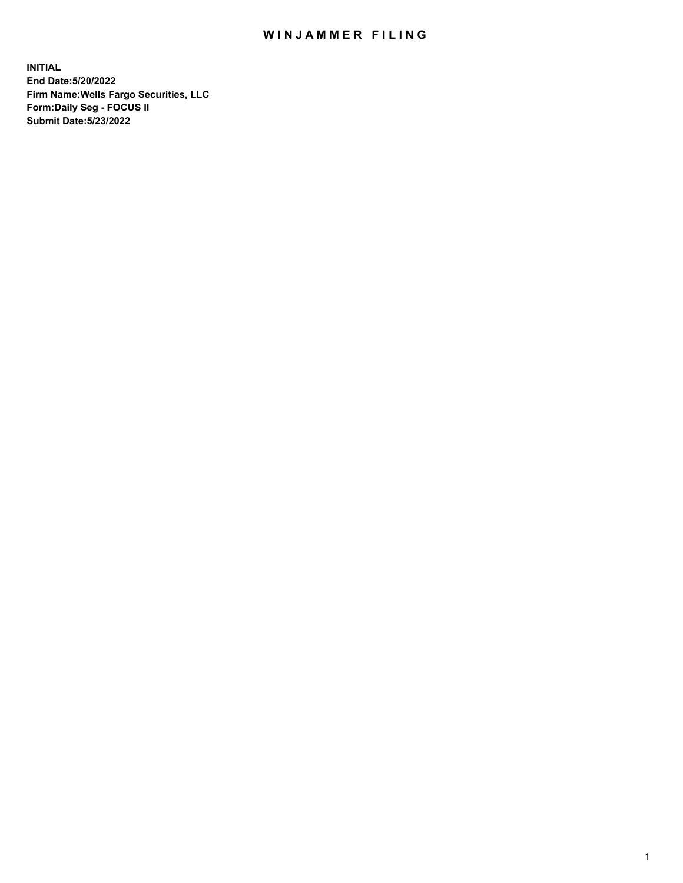## WIN JAMMER FILING

**INITIAL End Date:5/20/2022 Firm Name:Wells Fargo Securities, LLC Form:Daily Seg - FOCUS II Submit Date:5/23/2022**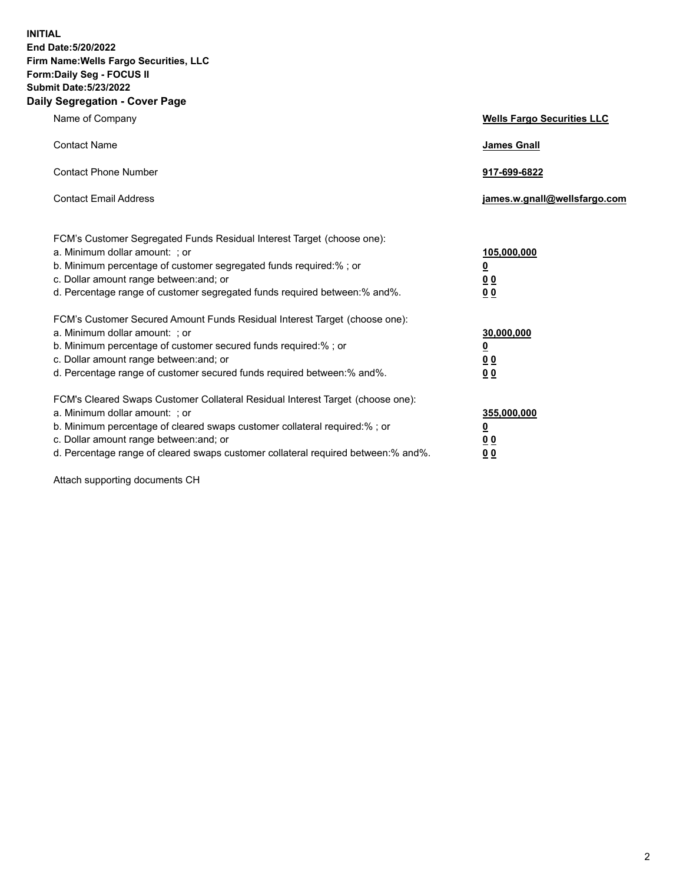**INITIAL End Date:5/20/2022 Firm Name:Wells Fargo Securities, LLC Form:Daily Seg - FOCUS II Submit Date:5/23/2022 Daily Segregation - Cover Page**

| Name of Company                                                                                                                                                                                                                                                                                                                | <b>Wells Fargo Securities LLC</b>                          |
|--------------------------------------------------------------------------------------------------------------------------------------------------------------------------------------------------------------------------------------------------------------------------------------------------------------------------------|------------------------------------------------------------|
| <b>Contact Name</b>                                                                                                                                                                                                                                                                                                            | <b>James Gnall</b>                                         |
| <b>Contact Phone Number</b>                                                                                                                                                                                                                                                                                                    | 917-699-6822                                               |
| <b>Contact Email Address</b>                                                                                                                                                                                                                                                                                                   | james.w.gnall@wellsfargo.com                               |
| FCM's Customer Segregated Funds Residual Interest Target (choose one):<br>a. Minimum dollar amount: ; or<br>b. Minimum percentage of customer segregated funds required:% ; or<br>c. Dollar amount range between: and; or<br>d. Percentage range of customer segregated funds required between:% and%.                         | 105,000,000<br><u>0</u><br>0 <sub>0</sub><br>00            |
| FCM's Customer Secured Amount Funds Residual Interest Target (choose one):<br>a. Minimum dollar amount: ; or<br>b. Minimum percentage of customer secured funds required:%; or<br>c. Dollar amount range between: and; or<br>d. Percentage range of customer secured funds required between:% and%.                            | 30,000,000<br><u>0</u><br>0 <sub>0</sub><br>0 <sub>0</sub> |
| FCM's Cleared Swaps Customer Collateral Residual Interest Target (choose one):<br>a. Minimum dollar amount: ; or<br>b. Minimum percentage of cleared swaps customer collateral required:% ; or<br>c. Dollar amount range between: and; or<br>d. Percentage range of cleared swaps customer collateral required between:% and%. | 355,000,000<br><u>0</u><br>00<br>00                        |

Attach supporting documents CH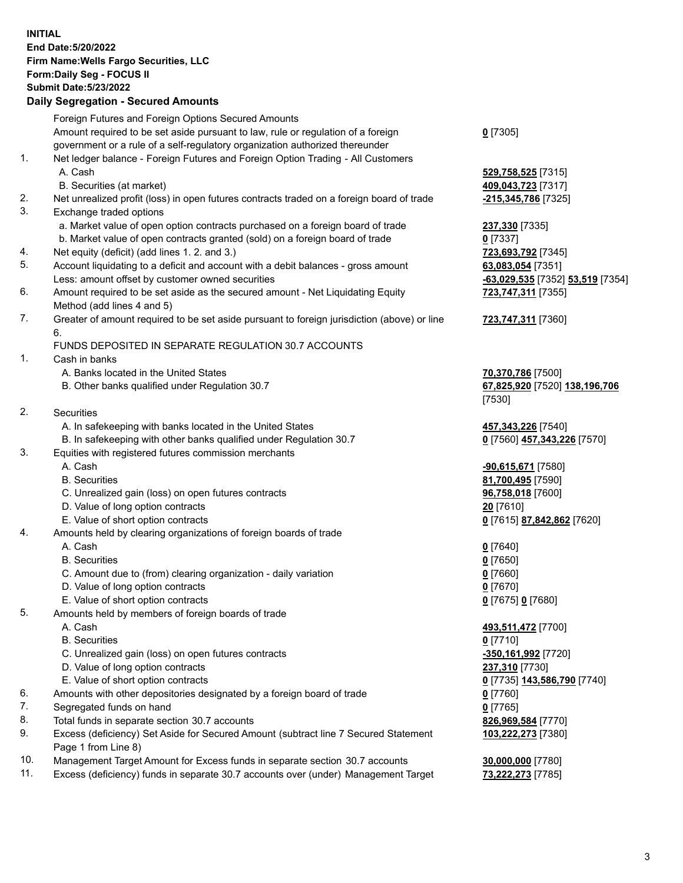**INITIAL End Date:5/20/2022 Firm Name:Wells Fargo Securities, LLC Form:Daily Seg - FOCUS II Submit Date:5/23/2022 Daily Segregation - Secured Amounts** Foreign Futures and Foreign Options Secured Amounts Amount required to be set aside pursuant to law, rule or regulation of a foreign government or a rule of a self-regulatory organization authorized thereunder 1. Net ledger balance - Foreign Futures and Foreign Option Trading - All Customers

- 
- B. Securities (at market) **409,043,723** [7317]
- 2. Net unrealized profit (loss) in open futures contracts traded on a foreign board of trade **-215,345,786** [7325]
- 3. Exchange traded options
	- a. Market value of open option contracts purchased on a foreign board of trade **237,330** [7335]
	- b. Market value of open contracts granted (sold) on a foreign board of trade **0** [7337]
- 4. Net equity (deficit) (add lines 1. 2. and 3.) **723,693,792** [7345]
- 5. Account liquidating to a deficit and account with a debit balances gross amount **63,083,054** [7351] Less: amount offset by customer owned securities **-63,029,535** [7352] **53,519** [7354]
- 6. Amount required to be set aside as the secured amount Net Liquidating Equity Method (add lines 4 and 5)
- 7. Greater of amount required to be set aside pursuant to foreign jurisdiction (above) or line 6.

## FUNDS DEPOSITED IN SEPARATE REGULATION 30.7 ACCOUNTS

- 1. Cash in banks
	- A. Banks located in the United States **70,370,786** [7500]
	- B. Other banks qualified under Regulation 30.7 **67,825,920** [7520] **138,196,706**
- 2. Securities
	- A. In safekeeping with banks located in the United States **457,343,226** [7540]
- B. In safekeeping with other banks qualified under Regulation 30.7 **0** [7560] **457,343,226** [7570]
- 3. Equities with registered futures commission merchants
	-
	-
	- C. Unrealized gain (loss) on open futures contracts **96,758,018** [7600]
	- D. Value of long option contracts **20** [7610]
	- E. Value of short option contracts **0** [7615] **87,842,862** [7620]
- 4. Amounts held by clearing organizations of foreign boards of trade
	- A. Cash **0** [7640]
	- B. Securities **0** [7650]
	- C. Amount due to (from) clearing organization daily variation **0** [7660]
	- D. Value of long option contracts **0** [7670]
	- E. Value of short option contracts **0** [7675] **0** [7680]
- 5. Amounts held by members of foreign boards of trade
	-
	- B. Securities **0** [7710]
	- C. Unrealized gain (loss) on open futures contracts **-350,161,992** [7720]
	- D. Value of long option contracts **237,310** [7730]
	- E. Value of short option contracts **0** [7735] **143,586,790** [7740]
- 6. Amounts with other depositories designated by a foreign board of trade **0** [7760]
- 7. Segregated funds on hand **0** [7765]
- 8. Total funds in separate section 30.7 accounts **826,969,584** [7770]
- 9. Excess (deficiency) Set Aside for Secured Amount (subtract line 7 Secured Statement Page 1 from Line 8)
- 10. Management Target Amount for Excess funds in separate section 30.7 accounts **30,000,000** [7780]
- 11. Excess (deficiency) funds in separate 30.7 accounts over (under) Management Target **73,222,273** [7785]

**0** [7305]

A. Cash **529,758,525** [7315]

**723,747,311** [7355]

## **723,747,311** [7360]

[7530]

 A. Cash **-90,615,671** [7580] B. Securities **81,700,495** [7590]

 A. Cash **493,511,472** [7700] **103,222,273** [7380]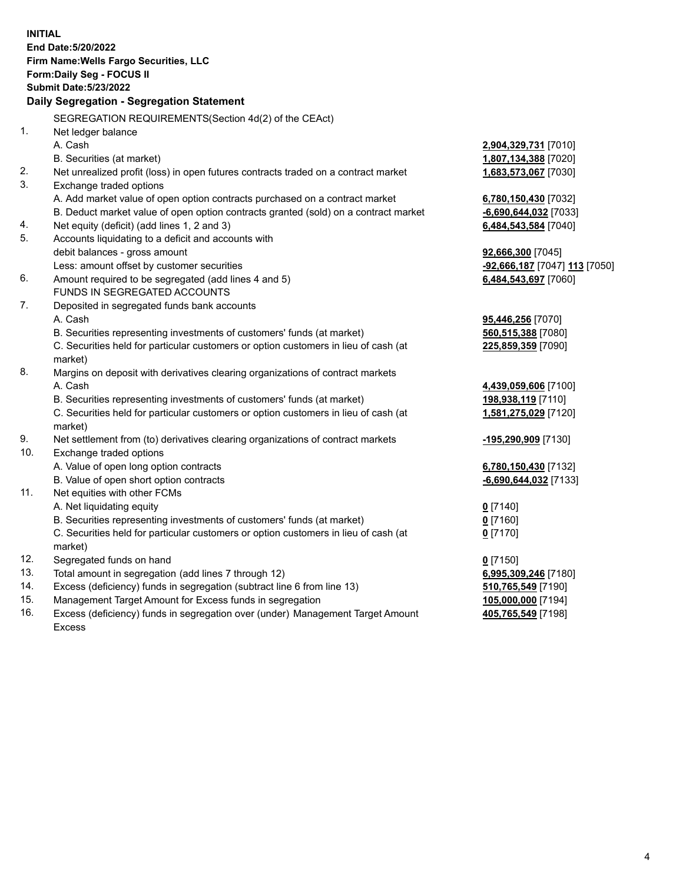**INITIAL End Date:5/20/2022 Firm Name:Wells Fargo Securities, LLC Form:Daily Seg - FOCUS II Submit Date:5/23/2022 Daily Segregation - Segregation Statement** SEGREGATION REQUIREMENTS(Section 4d(2) of the CEAct) 1. Net ledger balance A. Cash **2,904,329,731** [7010] B. Securities (at market) **1,807,134,388** [7020] 2. Net unrealized profit (loss) in open futures contracts traded on a contract market **1,683,573,067** [7030] 3. Exchange traded options A. Add market value of open option contracts purchased on a contract market **6,780,150,430** [7032] B. Deduct market value of open option contracts granted (sold) on a contract market **-6,690,644,032** [7033] 4. Net equity (deficit) (add lines 1, 2 and 3) **6,484,543,584** [7040] 5. Accounts liquidating to a deficit and accounts with debit balances - gross amount **92,666,300** [7045] Less: amount offset by customer securities **-92,666,187** [7047] **113** [7050] 6. Amount required to be segregated (add lines 4 and 5) **6,484,543,697** [7060] FUNDS IN SEGREGATED ACCOUNTS 7. Deposited in segregated funds bank accounts A. Cash **95,446,256** [7070] B. Securities representing investments of customers' funds (at market) **560,515,388** [7080] C. Securities held for particular customers or option customers in lieu of cash (at market) **225,859,359** [7090] 8. Margins on deposit with derivatives clearing organizations of contract markets A. Cash **4,439,059,606** [7100] B. Securities representing investments of customers' funds (at market) **198,938,119** [7110] C. Securities held for particular customers or option customers in lieu of cash (at market) **1,581,275,029** [7120] 9. Net settlement from (to) derivatives clearing organizations of contract markets **-195,290,909** [7130] 10. Exchange traded options A. Value of open long option contracts **6,780,150,430** [7132] B. Value of open short option contracts **-6,690,644,032** [7133] 11. Net equities with other FCMs A. Net liquidating equity **0** [7140] B. Securities representing investments of customers' funds (at market) **0** [7160] C. Securities held for particular customers or option customers in lieu of cash (at market) **0** [7170] 12. Segregated funds on hand **0** [7150] 13. Total amount in segregation (add lines 7 through 12) **6,995,309,246** [7180] 14. Excess (deficiency) funds in segregation (subtract line 6 from line 13) **510,765,549** [7190] 15. Management Target Amount for Excess funds in segregation **105,000,000** [7194] 16. Excess (deficiency) funds in segregation over (under) Management Target Amount Excess **405,765,549** [7198]